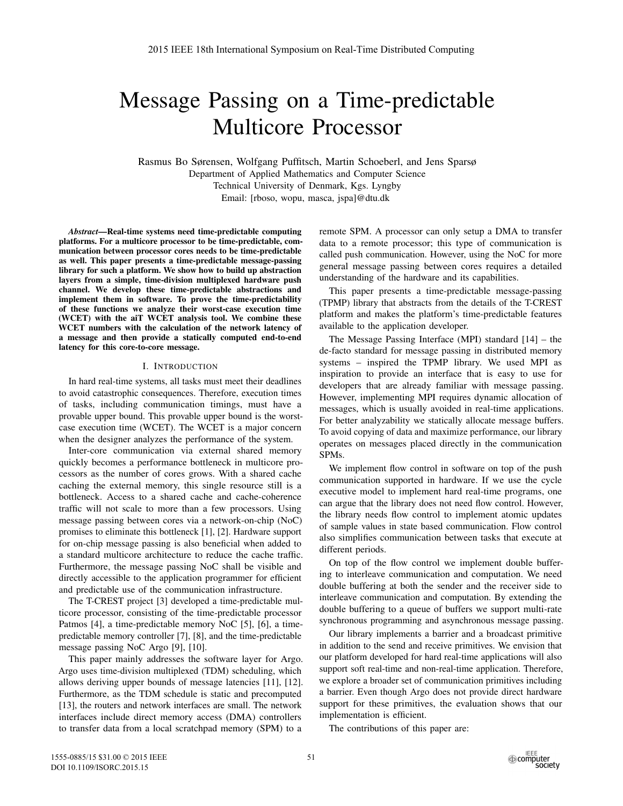# Message Passing on a Time-predictable Multicore Processor

Rasmus Bo Sørensen, Wolfgang Puffitsch, Martin Schoeberl, and Jens Sparsø Department of Applied Mathematics and Computer Science Technical University of Denmark, Kgs. Lyngby Email: [rboso, wopu, masca, jspa]@dtu.dk

*Abstract*—Real-time systems need time-predictable computing platforms. For a multicore processor to be time-predictable, communication between processor cores needs to be time-predictable as well. This paper presents a time-predictable message-passing library for such a platform. We show how to build up abstraction layers from a simple, time-division multiplexed hardware push channel. We develop these time-predictable abstractions and implement them in software. To prove the time-predictability of these functions we analyze their worst-case execution time (WCET) with the aiT WCET analysis tool. We combine these WCET numbers with the calculation of the network latency of a message and then provide a statically computed end-to-end latency for this core-to-core message.

#### I. INTRODUCTION

In hard real-time systems, all tasks must meet their deadlines to avoid catastrophic consequences. Therefore, execution times of tasks, including communication timings, must have a provable upper bound. This provable upper bound is the worstcase execution time (WCET). The WCET is a major concern when the designer analyzes the performance of the system.

Inter-core communication via external shared memory quickly becomes a performance bottleneck in multicore processors as the number of cores grows. With a shared cache caching the external memory, this single resource still is a bottleneck. Access to a shared cache and cache-coherence traffic will not scale to more than a few processors. Using message passing between cores via a network-on-chip (NoC) promises to eliminate this bottleneck [1], [2]. Hardware support for on-chip message passing is also beneficial when added to a standard multicore architecture to reduce the cache traffic. Furthermore, the message passing NoC shall be visible and directly accessible to the application programmer for efficient and predictable use of the communication infrastructure.

The T-CREST project [3] developed a time-predictable multicore processor, consisting of the time-predictable processor Patmos [4], a time-predictable memory NoC [5], [6], a timepredictable memory controller [7], [8], and the time-predictable message passing NoC Argo [9], [10].

This paper mainly addresses the software layer for Argo. Argo uses time-division multiplexed (TDM) scheduling, which allows deriving upper bounds of message latencies [11], [12]. Furthermore, as the TDM schedule is static and precomputed [13], the routers and network interfaces are small. The network interfaces include direct memory access (DMA) controllers to transfer data from a local scratchpad memory (SPM) to a remote SPM. A processor can only setup a DMA to transfer data to a remote processor; this type of communication is called push communication. However, using the NoC for more general message passing between cores requires a detailed understanding of the hardware and its capabilities.

This paper presents a time-predictable message-passing (TPMP) library that abstracts from the details of the T-CREST platform and makes the platform's time-predictable features available to the application developer.

The Message Passing Interface (MPI) standard [14] – the de-facto standard for message passing in distributed memory systems – inspired the TPMP library. We used MPI as inspiration to provide an interface that is easy to use for developers that are already familiar with message passing. However, implementing MPI requires dynamic allocation of messages, which is usually avoided in real-time applications. For better analyzability we statically allocate message buffers. To avoid copying of data and maximize performance, our library operates on messages placed directly in the communication SPMs.

We implement flow control in software on top of the push communication supported in hardware. If we use the cycle executive model to implement hard real-time programs, one can argue that the library does not need flow control. However, the library needs flow control to implement atomic updates of sample values in state based communication. Flow control also simplifies communication between tasks that execute at different periods.

On top of the flow control we implement double buffering to interleave communication and computation. We need double buffering at both the sender and the receiver side to interleave communication and computation. By extending the double buffering to a queue of buffers we support multi-rate synchronous programming and asynchronous message passing.

Our library implements a barrier and a broadcast primitive in addition to the send and receive primitives. We envision that our platform developed for hard real-time applications will also support soft real-time and non-real-time application. Therefore, we explore a broader set of communication primitives including a barrier. Even though Argo does not provide direct hardware support for these primitives, the evaluation shows that our implementation is efficient.

The contributions of this paper are: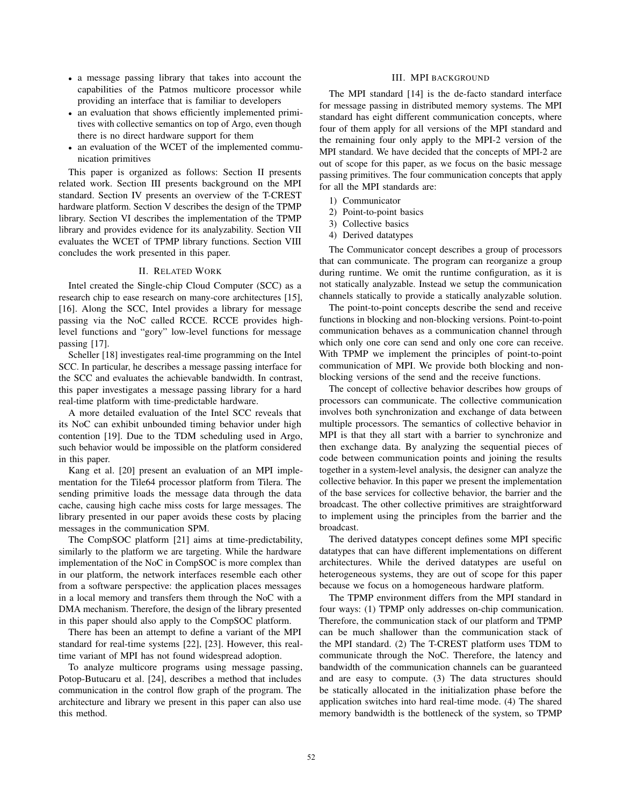- a message passing library that takes into account the capabilities of the Patmos multicore processor while providing an interface that is familiar to developers
- an evaluation that shows efficiently implemented primitives with collective semantics on top of Argo, even though there is no direct hardware support for them
- an evaluation of the WCET of the implemented communication primitives

This paper is organized as follows: Section II presents related work. Section III presents background on the MPI standard. Section IV presents an overview of the T-CREST hardware platform. Section V describes the design of the TPMP library. Section VI describes the implementation of the TPMP library and provides evidence for its analyzability. Section VII evaluates the WCET of TPMP library functions. Section VIII concludes the work presented in this paper.

#### II. RELATED WORK

Intel created the Single-chip Cloud Computer (SCC) as a research chip to ease research on many-core architectures [15], [16]. Along the SCC, Intel provides a library for message passing via the NoC called RCCE. RCCE provides highlevel functions and "gory" low-level functions for message passing [17].

Scheller [18] investigates real-time programming on the Intel SCC. In particular, he describes a message passing interface for the SCC and evaluates the achievable bandwidth. In contrast, this paper investigates a message passing library for a hard real-time platform with time-predictable hardware.

A more detailed evaluation of the Intel SCC reveals that its NoC can exhibit unbounded timing behavior under high contention [19]. Due to the TDM scheduling used in Argo, such behavior would be impossible on the platform considered in this paper.

Kang et al. [20] present an evaluation of an MPI implementation for the Tile64 processor platform from Tilera. The sending primitive loads the message data through the data cache, causing high cache miss costs for large messages. The library presented in our paper avoids these costs by placing messages in the communication SPM.

The CompSOC platform [21] aims at time-predictability, similarly to the platform we are targeting. While the hardware implementation of the NoC in CompSOC is more complex than in our platform, the network interfaces resemble each other from a software perspective: the application places messages in a local memory and transfers them through the NoC with a DMA mechanism. Therefore, the design of the library presented in this paper should also apply to the CompSOC platform.

There has been an attempt to define a variant of the MPI standard for real-time systems [22], [23]. However, this realtime variant of MPI has not found widespread adoption.

To analyze multicore programs using message passing, Potop-Butucaru et al. [24], describes a method that includes communication in the control flow graph of the program. The architecture and library we present in this paper can also use this method.

# III. MPI BACKGROUND

The MPI standard [14] is the de-facto standard interface for message passing in distributed memory systems. The MPI standard has eight different communication concepts, where four of them apply for all versions of the MPI standard and the remaining four only apply to the MPI-2 version of the MPI standard. We have decided that the concepts of MPI-2 are out of scope for this paper, as we focus on the basic message passing primitives. The four communication concepts that apply for all the MPI standards are:

- 1) Communicator
- 2) Point-to-point basics
- 3) Collective basics
- 4) Derived datatypes

The Communicator concept describes a group of processors that can communicate. The program can reorganize a group during runtime. We omit the runtime configuration, as it is not statically analyzable. Instead we setup the communication channels statically to provide a statically analyzable solution.

The point-to-point concepts describe the send and receive functions in blocking and non-blocking versions. Point-to-point communication behaves as a communication channel through which only one core can send and only one core can receive. With TPMP we implement the principles of point-to-point communication of MPI. We provide both blocking and nonblocking versions of the send and the receive functions.

The concept of collective behavior describes how groups of processors can communicate. The collective communication involves both synchronization and exchange of data between multiple processors. The semantics of collective behavior in MPI is that they all start with a barrier to synchronize and then exchange data. By analyzing the sequential pieces of code between communication points and joining the results together in a system-level analysis, the designer can analyze the collective behavior. In this paper we present the implementation of the base services for collective behavior, the barrier and the broadcast. The other collective primitives are straightforward to implement using the principles from the barrier and the broadcast.

The derived datatypes concept defines some MPI specific datatypes that can have different implementations on different architectures. While the derived datatypes are useful on heterogeneous systems, they are out of scope for this paper because we focus on a homogeneous hardware platform.

The TPMP environment differs from the MPI standard in four ways: (1) TPMP only addresses on-chip communication. Therefore, the communication stack of our platform and TPMP can be much shallower than the communication stack of the MPI standard. (2) The T-CREST platform uses TDM to communicate through the NoC. Therefore, the latency and bandwidth of the communication channels can be guaranteed and are easy to compute. (3) The data structures should be statically allocated in the initialization phase before the application switches into hard real-time mode. (4) The shared memory bandwidth is the bottleneck of the system, so TPMP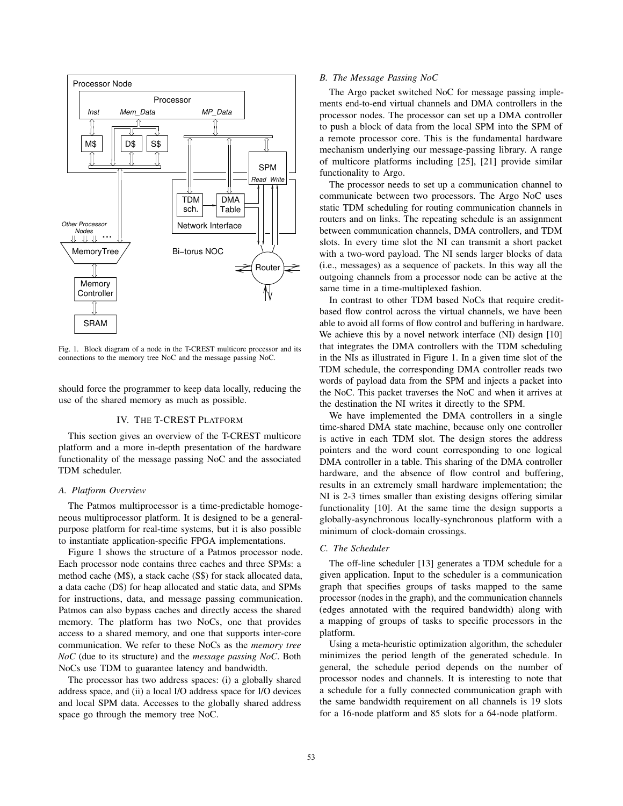

Fig. 1. Block diagram of a node in the T-CREST multicore processor and its connections to the memory tree NoC and the message passing NoC.

should force the programmer to keep data locally, reducing the use of the shared memory as much as possible.

# IV. THE T-CREST PLATFORM

This section gives an overview of the T-CREST multicore platform and a more in-depth presentation of the hardware functionality of the message passing NoC and the associated TDM scheduler.

#### *A. Platform Overview*

The Patmos multiprocessor is a time-predictable homogeneous multiprocessor platform. It is designed to be a generalpurpose platform for real-time systems, but it is also possible to instantiate application-specific FPGA implementations.

Figure 1 shows the structure of a Patmos processor node. Each processor node contains three caches and three SPMs: a method cache (M\$), a stack cache (S\$) for stack allocated data, a data cache (D\$) for heap allocated and static data, and SPMs for instructions, data, and message passing communication. Patmos can also bypass caches and directly access the shared memory. The platform has two NoCs, one that provides access to a shared memory, and one that supports inter-core communication. We refer to these NoCs as the *memory tree NoC* (due to its structure) and the *message passing NoC*. Both NoCs use TDM to guarantee latency and bandwidth.

The processor has two address spaces: (i) a globally shared address space, and (ii) a local I/O address space for I/O devices and local SPM data. Accesses to the globally shared address space go through the memory tree NoC.

## *B. The Message Passing NoC*

The Argo packet switched NoC for message passing implements end-to-end virtual channels and DMA controllers in the processor nodes. The processor can set up a DMA controller to push a block of data from the local SPM into the SPM of a remote processor core. This is the fundamental hardware mechanism underlying our message-passing library. A range of multicore platforms including [25], [21] provide similar functionality to Argo.

The processor needs to set up a communication channel to communicate between two processors. The Argo NoC uses static TDM scheduling for routing communication channels in routers and on links. The repeating schedule is an assignment between communication channels, DMA controllers, and TDM slots. In every time slot the NI can transmit a short packet with a two-word payload. The NI sends larger blocks of data (i.e., messages) as a sequence of packets. In this way all the outgoing channels from a processor node can be active at the same time in a time-multiplexed fashion.

In contrast to other TDM based NoCs that require creditbased flow control across the virtual channels, we have been able to avoid all forms of flow control and buffering in hardware. We achieve this by a novel network interface (NI) design [10] that integrates the DMA controllers with the TDM scheduling in the NIs as illustrated in Figure 1. In a given time slot of the TDM schedule, the corresponding DMA controller reads two words of payload data from the SPM and injects a packet into the NoC. This packet traverses the NoC and when it arrives at the destination the NI writes it directly to the SPM.

We have implemented the DMA controllers in a single time-shared DMA state machine, because only one controller is active in each TDM slot. The design stores the address pointers and the word count corresponding to one logical DMA controller in a table. This sharing of the DMA controller hardware, and the absence of flow control and buffering, results in an extremely small hardware implementation; the NI is 2-3 times smaller than existing designs offering similar functionality [10]. At the same time the design supports a globally-asynchronous locally-synchronous platform with a minimum of clock-domain crossings.

# *C. The Scheduler*

The off-line scheduler [13] generates a TDM schedule for a given application. Input to the scheduler is a communication graph that specifies groups of tasks mapped to the same processor (nodes in the graph), and the communication channels (edges annotated with the required bandwidth) along with a mapping of groups of tasks to specific processors in the platform.

Using a meta-heuristic optimization algorithm, the scheduler minimizes the period length of the generated schedule. In general, the schedule period depends on the number of processor nodes and channels. It is interesting to note that a schedule for a fully connected communication graph with the same bandwidth requirement on all channels is 19 slots for a 16-node platform and 85 slots for a 64-node platform.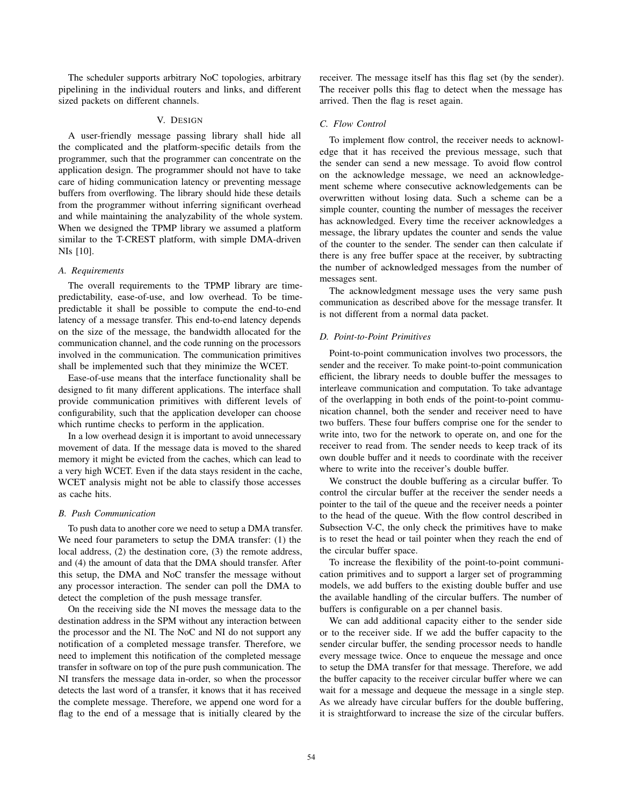The scheduler supports arbitrary NoC topologies, arbitrary pipelining in the individual routers and links, and different sized packets on different channels.

#### V. DESIGN

A user-friendly message passing library shall hide all the complicated and the platform-specific details from the programmer, such that the programmer can concentrate on the application design. The programmer should not have to take care of hiding communication latency or preventing message buffers from overflowing. The library should hide these details from the programmer without inferring significant overhead and while maintaining the analyzability of the whole system. When we designed the TPMP library we assumed a platform similar to the T-CREST platform, with simple DMA-driven NIs [10].

#### *A. Requirements*

The overall requirements to the TPMP library are timepredictability, ease-of-use, and low overhead. To be timepredictable it shall be possible to compute the end-to-end latency of a message transfer. This end-to-end latency depends on the size of the message, the bandwidth allocated for the communication channel, and the code running on the processors involved in the communication. The communication primitives shall be implemented such that they minimize the WCET.

Ease-of-use means that the interface functionality shall be designed to fit many different applications. The interface shall provide communication primitives with different levels of configurability, such that the application developer can choose which runtime checks to perform in the application.

In a low overhead design it is important to avoid unnecessary movement of data. If the message data is moved to the shared memory it might be evicted from the caches, which can lead to a very high WCET. Even if the data stays resident in the cache, WCET analysis might not be able to classify those accesses as cache hits.

## *B. Push Communication*

To push data to another core we need to setup a DMA transfer. We need four parameters to setup the DMA transfer: (1) the local address, (2) the destination core, (3) the remote address, and (4) the amount of data that the DMA should transfer. After this setup, the DMA and NoC transfer the message without any processor interaction. The sender can poll the DMA to detect the completion of the push message transfer.

On the receiving side the NI moves the message data to the destination address in the SPM without any interaction between the processor and the NI. The NoC and NI do not support any notification of a completed message transfer. Therefore, we need to implement this notification of the completed message transfer in software on top of the pure push communication. The NI transfers the message data in-order, so when the processor detects the last word of a transfer, it knows that it has received the complete message. Therefore, we append one word for a flag to the end of a message that is initially cleared by the receiver. The message itself has this flag set (by the sender). The receiver polls this flag to detect when the message has arrived. Then the flag is reset again.

# *C. Flow Control*

To implement flow control, the receiver needs to acknowledge that it has received the previous message, such that the sender can send a new message. To avoid flow control on the acknowledge message, we need an acknowledgement scheme where consecutive acknowledgements can be overwritten without losing data. Such a scheme can be a simple counter, counting the number of messages the receiver has acknowledged. Every time the receiver acknowledges a message, the library updates the counter and sends the value of the counter to the sender. The sender can then calculate if there is any free buffer space at the receiver, by subtracting the number of acknowledged messages from the number of messages sent.

The acknowledgment message uses the very same push communication as described above for the message transfer. It is not different from a normal data packet.

#### *D. Point-to-Point Primitives*

Point-to-point communication involves two processors, the sender and the receiver. To make point-to-point communication efficient, the library needs to double buffer the messages to interleave communication and computation. To take advantage of the overlapping in both ends of the point-to-point communication channel, both the sender and receiver need to have two buffers. These four buffers comprise one for the sender to write into, two for the network to operate on, and one for the receiver to read from. The sender needs to keep track of its own double buffer and it needs to coordinate with the receiver where to write into the receiver's double buffer.

We construct the double buffering as a circular buffer. To control the circular buffer at the receiver the sender needs a pointer to the tail of the queue and the receiver needs a pointer to the head of the queue. With the flow control described in Subsection V-C, the only check the primitives have to make is to reset the head or tail pointer when they reach the end of the circular buffer space.

To increase the flexibility of the point-to-point communication primitives and to support a larger set of programming models, we add buffers to the existing double buffer and use the available handling of the circular buffers. The number of buffers is configurable on a per channel basis.

We can add additional capacity either to the sender side or to the receiver side. If we add the buffer capacity to the sender circular buffer, the sending processor needs to handle every message twice. Once to enqueue the message and once to setup the DMA transfer for that message. Therefore, we add the buffer capacity to the receiver circular buffer where we can wait for a message and dequeue the message in a single step. As we already have circular buffers for the double buffering, it is straightforward to increase the size of the circular buffers.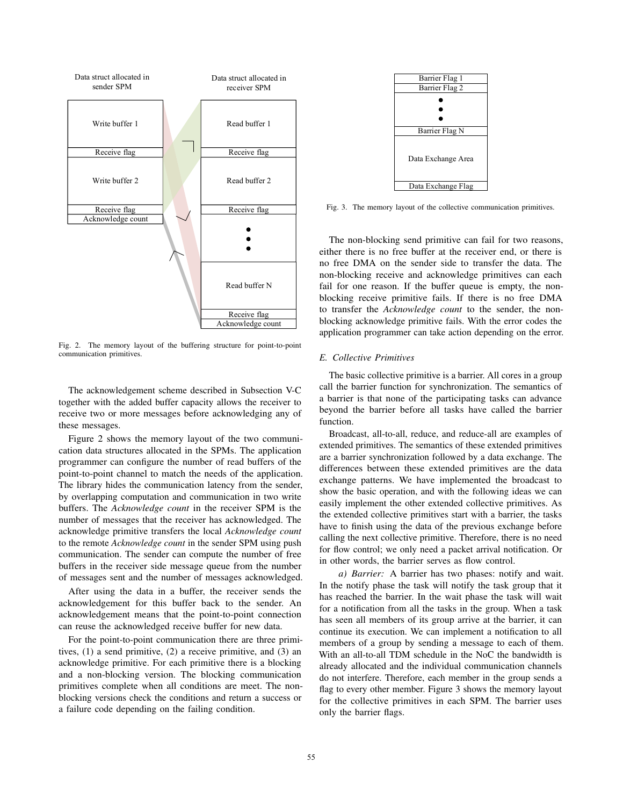

Fig. 2. The memory layout of the buffering structure for point-to-point communication primitives.

The acknowledgement scheme described in Subsection V-C together with the added buffer capacity allows the receiver to receive two or more messages before acknowledging any of these messages.

Figure 2 shows the memory layout of the two communication data structures allocated in the SPMs. The application programmer can configure the number of read buffers of the point-to-point channel to match the needs of the application. The library hides the communication latency from the sender, by overlapping computation and communication in two write buffers. The *Acknowledge count* in the receiver SPM is the number of messages that the receiver has acknowledged. The acknowledge primitive transfers the local *Acknowledge count* to the remote *Acknowledge count* in the sender SPM using push communication. The sender can compute the number of free buffers in the receiver side message queue from the number of messages sent and the number of messages acknowledged.

After using the data in a buffer, the receiver sends the acknowledgement for this buffer back to the sender. An acknowledgement means that the point-to-point connection can reuse the acknowledged receive buffer for new data.

For the point-to-point communication there are three primitives, (1) a send primitive, (2) a receive primitive, and (3) an acknowledge primitive. For each primitive there is a blocking and a non-blocking version. The blocking communication primitives complete when all conditions are meet. The nonblocking versions check the conditions and return a success or a failure code depending on the failing condition.



Fig. 3. The memory layout of the collective communication primitives.

The non-blocking send primitive can fail for two reasons, either there is no free buffer at the receiver end, or there is no free DMA on the sender side to transfer the data. The non-blocking receive and acknowledge primitives can each fail for one reason. If the buffer queue is empty, the nonblocking receive primitive fails. If there is no free DMA to transfer the *Acknowledge count* to the sender, the nonblocking acknowledge primitive fails. With the error codes the application programmer can take action depending on the error.

# *E. Collective Primitives*

The basic collective primitive is a barrier. All cores in a group call the barrier function for synchronization. The semantics of a barrier is that none of the participating tasks can advance beyond the barrier before all tasks have called the barrier function.

Broadcast, all-to-all, reduce, and reduce-all are examples of extended primitives. The semantics of these extended primitives are a barrier synchronization followed by a data exchange. The differences between these extended primitives are the data exchange patterns. We have implemented the broadcast to show the basic operation, and with the following ideas we can easily implement the other extended collective primitives. As the extended collective primitives start with a barrier, the tasks have to finish using the data of the previous exchange before calling the next collective primitive. Therefore, there is no need for flow control; we only need a packet arrival notification. Or in other words, the barrier serves as flow control.

*a) Barrier:* A barrier has two phases: notify and wait. In the notify phase the task will notify the task group that it has reached the barrier. In the wait phase the task will wait for a notification from all the tasks in the group. When a task has seen all members of its group arrive at the barrier, it can continue its execution. We can implement a notification to all members of a group by sending a message to each of them. With an all-to-all TDM schedule in the NoC the bandwidth is already allocated and the individual communication channels do not interfere. Therefore, each member in the group sends a flag to every other member. Figure 3 shows the memory layout for the collective primitives in each SPM. The barrier uses only the barrier flags.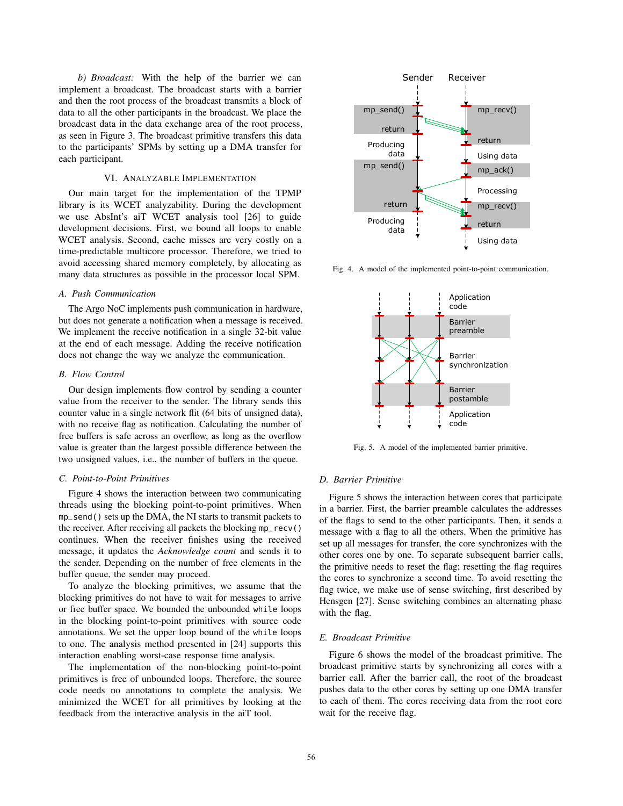*b) Broadcast:* With the help of the barrier we can implement a broadcast. The broadcast starts with a barrier and then the root process of the broadcast transmits a block of data to all the other participants in the broadcast. We place the broadcast data in the data exchange area of the root process, as seen in Figure 3. The broadcast primitive transfers this data to the participants' SPMs by setting up a DMA transfer for each participant.

# VI. ANALYZABLE IMPLEMENTATION

Our main target for the implementation of the TPMP library is its WCET analyzability. During the development we use AbsInt's aiT WCET analysis tool [26] to guide development decisions. First, we bound all loops to enable WCET analysis. Second, cache misses are very costly on a time-predictable multicore processor. Therefore, we tried to avoid accessing shared memory completely, by allocating as many data structures as possible in the processor local SPM.

#### *A. Push Communication*

The Argo NoC implements push communication in hardware, but does not generate a notification when a message is received. We implement the receive notification in a single 32-bit value at the end of each message. Adding the receive notification does not change the way we analyze the communication.

# *B. Flow Control*

Our design implements flow control by sending a counter value from the receiver to the sender. The library sends this counter value in a single network flit (64 bits of unsigned data), with no receive flag as notification. Calculating the number of free buffers is safe across an overflow, as long as the overflow value is greater than the largest possible difference between the two unsigned values, i.e., the number of buffers in the queue.

# *C. Point-to-Point Primitives*

Figure 4 shows the interaction between two communicating threads using the blocking point-to-point primitives. When mp\_send() sets up the DMA, the NI starts to transmit packets to the receiver. After receiving all packets the blocking mp\_recv() continues. When the receiver finishes using the received message, it updates the *Acknowledge count* and sends it to the sender. Depending on the number of free elements in the buffer queue, the sender may proceed.

To analyze the blocking primitives, we assume that the blocking primitives do not have to wait for messages to arrive or free buffer space. We bounded the unbounded while loops in the blocking point-to-point primitives with source code annotations. We set the upper loop bound of the while loops to one. The analysis method presented in [24] supports this interaction enabling worst-case response time analysis.

The implementation of the non-blocking point-to-point primitives is free of unbounded loops. Therefore, the source code needs no annotations to complete the analysis. We minimized the WCET for all primitives by looking at the feedback from the interactive analysis in the aiT tool.



Fig. 4. A model of the implemented point-to-point communication.



Fig. 5. A model of the implemented barrier primitive.

# *D. Barrier Primitive*

Figure 5 shows the interaction between cores that participate in a barrier. First, the barrier preamble calculates the addresses of the flags to send to the other participants. Then, it sends a message with a flag to all the others. When the primitive has set up all messages for transfer, the core synchronizes with the other cores one by one. To separate subsequent barrier calls, the primitive needs to reset the flag; resetting the flag requires the cores to synchronize a second time. To avoid resetting the flag twice, we make use of sense switching, first described by Hensgen [27]. Sense switching combines an alternating phase with the flag.

### *E. Broadcast Primitive*

Figure 6 shows the model of the broadcast primitive. The broadcast primitive starts by synchronizing all cores with a barrier call. After the barrier call, the root of the broadcast pushes data to the other cores by setting up one DMA transfer to each of them. The cores receiving data from the root core wait for the receive flag.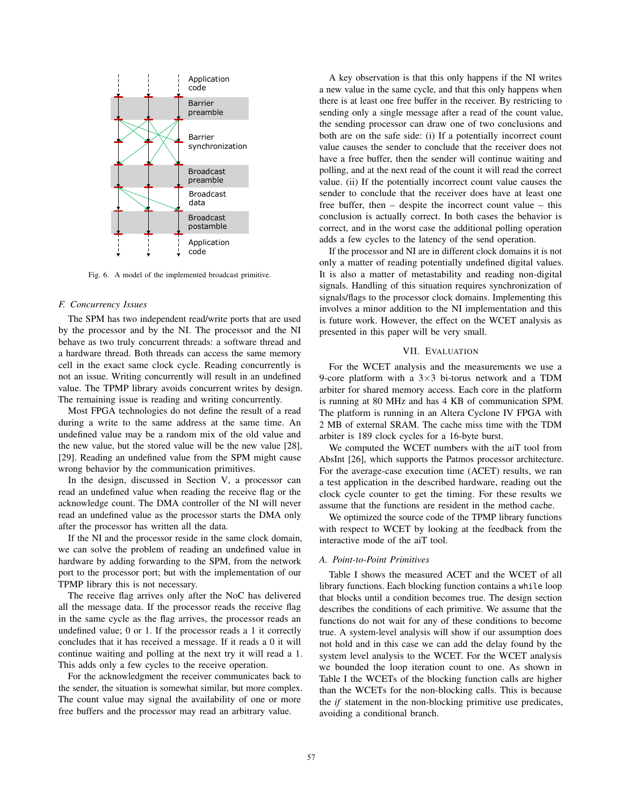

Fig. 6. A model of the implemented broadcast primitive.

#### *F. Concurrency Issues*

The SPM has two independent read/write ports that are used by the processor and by the NI. The processor and the NI behave as two truly concurrent threads: a software thread and a hardware thread. Both threads can access the same memory cell in the exact same clock cycle. Reading concurrently is not an issue. Writing concurrently will result in an undefined value. The TPMP library avoids concurrent writes by design. The remaining issue is reading and writing concurrently.

Most FPGA technologies do not define the result of a read during a write to the same address at the same time. An undefined value may be a random mix of the old value and the new value, but the stored value will be the new value [28], [29]. Reading an undefined value from the SPM might cause wrong behavior by the communication primitives.

In the design, discussed in Section V, a processor can read an undefined value when reading the receive flag or the acknowledge count. The DMA controller of the NI will never read an undefined value as the processor starts the DMA only after the processor has written all the data.

If the NI and the processor reside in the same clock domain, we can solve the problem of reading an undefined value in hardware by adding forwarding to the SPM, from the network port to the processor port; but with the implementation of our TPMP library this is not necessary.

The receive flag arrives only after the NoC has delivered all the message data. If the processor reads the receive flag in the same cycle as the flag arrives, the processor reads an undefined value; 0 or 1. If the processor reads a 1 it correctly concludes that it has received a message. If it reads a 0 it will continue waiting and polling at the next try it will read a 1. This adds only a few cycles to the receive operation.

For the acknowledgment the receiver communicates back to the sender, the situation is somewhat similar, but more complex. The count value may signal the availability of one or more free buffers and the processor may read an arbitrary value.

A key observation is that this only happens if the NI writes a new value in the same cycle, and that this only happens when there is at least one free buffer in the receiver. By restricting to sending only a single message after a read of the count value, the sending processor can draw one of two conclusions and both are on the safe side: (i) If a potentially incorrect count value causes the sender to conclude that the receiver does not have a free buffer, then the sender will continue waiting and polling, and at the next read of the count it will read the correct value. (ii) If the potentially incorrect count value causes the sender to conclude that the receiver does have at least one free buffer, then – despite the incorrect count value – this conclusion is actually correct. In both cases the behavior is correct, and in the worst case the additional polling operation adds a few cycles to the latency of the send operation.

If the processor and NI are in different clock domains it is not only a matter of reading potentially undefined digital values. It is also a matter of metastability and reading non-digital signals. Handling of this situation requires synchronization of signals/flags to the processor clock domains. Implementing this involves a minor addition to the NI implementation and this is future work. However, the effect on the WCET analysis as presented in this paper will be very small.

# VII. EVALUATION

For the WCET analysis and the measurements we use a 9-core platform with a  $3\times3$  bi-torus network and a TDM arbiter for shared memory access. Each core in the platform is running at 80 MHz and has 4 KB of communication SPM. The platform is running in an Altera Cyclone IV FPGA with 2 MB of external SRAM. The cache miss time with the TDM arbiter is 189 clock cycles for a 16-byte burst.

We computed the WCET numbers with the aiT tool from AbsInt [26], which supports the Patmos processor architecture. For the average-case execution time (ACET) results, we ran a test application in the described hardware, reading out the clock cycle counter to get the timing. For these results we assume that the functions are resident in the method cache.

We optimized the source code of the TPMP library functions with respect to WCET by looking at the feedback from the interactive mode of the aiT tool.

# *A. Point-to-Point Primitives*

Table I shows the measured ACET and the WCET of all library functions. Each blocking function contains a while loop that blocks until a condition becomes true. The design section describes the conditions of each primitive. We assume that the functions do not wait for any of these conditions to become true. A system-level analysis will show if our assumption does not hold and in this case we can add the delay found by the system level analysis to the WCET. For the WCET analysis we bounded the loop iteration count to one. As shown in Table I the WCETs of the blocking function calls are higher than the WCETs for the non-blocking calls. This is because the *if* statement in the non-blocking primitive use predicates, avoiding a conditional branch.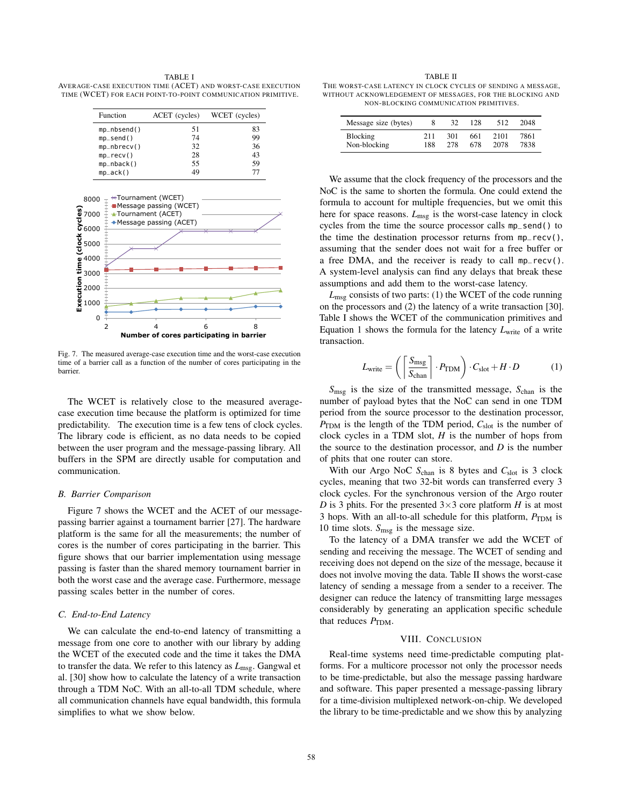TABLE I AVERAGE-CASE EXECUTION TIME (ACET) AND WORST-CASE EXECUTION TIME (WCET) FOR EACH POINT-TO-POINT COMMUNICATION PRIMITIVE.

| Function       | ACET (cycles) | WCET (cycles) |  |
|----------------|---------------|---------------|--|
| $mp\_nbsend()$ | 51            | 83            |  |
| $mp\_send()$   | 74            | 99            |  |
| $mp\_nbrecv()$ | 32            | 36            |  |
| $mp\_recv()$   | 28            | 43            |  |
| $mp\_nback()$  | 55            | 59            |  |
| $mp_ack()$     | 49            | 77            |  |



Fig. 7. The measured average-case execution time and the worst-case execution time of a barrier call as a function of the number of cores participating in the barrier.

The WCET is relatively close to the measured averagecase execution time because the platform is optimized for time predictability. The execution time is a few tens of clock cycles. The library code is efficient, as no data needs to be copied between the user program and the message-passing library. All buffers in the SPM are directly usable for computation and communication.

#### *B. Barrier Comparison*

Figure 7 shows the WCET and the ACET of our messagepassing barrier against a tournament barrier [27]. The hardware platform is the same for all the measurements; the number of cores is the number of cores participating in the barrier. This figure shows that our barrier implementation using message passing is faster than the shared memory tournament barrier in both the worst case and the average case. Furthermore, message passing scales better in the number of cores.

#### *C. End-to-End Latency*

We can calculate the end-to-end latency of transmitting a message from one core to another with our library by adding the WCET of the executed code and the time it takes the DMA to transfer the data. We refer to this latency as *L*msg. Gangwal et al. [30] show how to calculate the latency of a write transaction through a TDM NoC. With an all-to-all TDM schedule, where all communication channels have equal bandwidth, this formula simplifies to what we show below.

TABLE II THE WORST-CASE LATENCY IN CLOCK CYCLES OF SENDING A MESSAGE, WITHOUT ACKNOWLEDGEMENT OF MESSAGES, FOR THE BLOCKING AND NON-BLOCKING COMMUNICATION PRIMITIVES.

| Message size (bytes) |     | 32  | 128 | 512  | 2048 |
|----------------------|-----|-----|-----|------|------|
| Blocking             | 211 | 301 | 661 | 2101 | 7861 |
| Non-blocking         | 188 | 278 | 678 | 2078 | 7838 |

We assume that the clock frequency of the processors and the NoC is the same to shorten the formula. One could extend the formula to account for multiple frequencies, but we omit this here for space reasons.  $L_{\text{msg}}$  is the worst-case latency in clock cycles from the time the source processor calls mp\_send() to the time the destination processor returns from mp\_recv(), assuming that the sender does not wait for a free buffer or a free DMA, and the receiver is ready to call mp\_recv(). A system-level analysis can find any delays that break these assumptions and add them to the worst-case latency.

 $L_{\text{mse}}$  consists of two parts: (1) the WCET of the code running on the processors and (2) the latency of a write transaction [30]. Table I shows the WCET of the communication primitives and Equation 1 shows the formula for the latency *L*write of a write transaction.

$$
L_{\text{write}} = \left( \left\lceil \frac{S_{\text{msg}}}{S_{\text{chan}}} \right\rceil \cdot P_{\text{TDM}} \right) \cdot C_{\text{slot}} + H \cdot D \tag{1}
$$

*S*msg is the size of the transmitted message, *S*chan is the number of payload bytes that the NoC can send in one TDM period from the source processor to the destination processor, *P*TDM is the length of the TDM period, *C*slot is the number of clock cycles in a TDM slot, *H* is the number of hops from the source to the destination processor, and *D* is the number of phits that one router can store.

With our Argo NoC S<sub>chan</sub> is 8 bytes and C<sub>slot</sub> is 3 clock cycles, meaning that two 32-bit words can transferred every 3 clock cycles. For the synchronous version of the Argo router *D* is 3 phits. For the presented  $3 \times 3$  core platform *H* is at most 3 hops. With an all-to-all schedule for this platform,  $P_{\text{TDM}}$  is 10 time slots. *S*msg is the message size.

To the latency of a DMA transfer we add the WCET of sending and receiving the message. The WCET of sending and receiving does not depend on the size of the message, because it does not involve moving the data. Table II shows the worst-case latency of sending a message from a sender to a receiver. The designer can reduce the latency of transmitting large messages considerably by generating an application specific schedule that reduces  $P_{\text{TDM}}$ .

## VIII. CONCLUSION

Real-time systems need time-predictable computing platforms. For a multicore processor not only the processor needs to be time-predictable, but also the message passing hardware and software. This paper presented a message-passing library for a time-division multiplexed network-on-chip. We developed the library to be time-predictable and we show this by analyzing